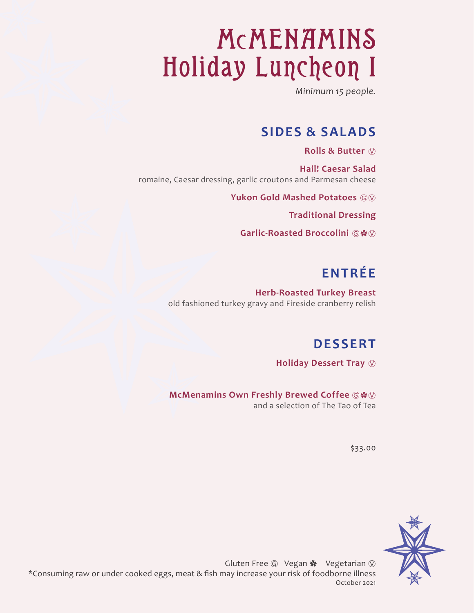# McMENAMINS Holiday Luncheon I

*Minimum 15 people.*

#### **SIDES & SALADS**

**Rolls & Butter** Ⓥ

**Hail! Caesar Salad**  romaine, Caesar dressing, garlic croutons and Parmesan cheese

**Yukon Gold Mashed Potatoes** ⒼⓋ

**Traditional Dressing**

**Garlic-Roasted Broccolini** Ⓖ✿Ⓥ

### **ENTRÉE**

**Herb-Roasted Turkey Breast**  old fashioned turkey gravy and Fireside cranberry relish

#### **DESSERT**

**Holiday Dessert Tray**  $\heartsuit$ 

**McMenamins Own Freshly Brewed Coffee ©※** 

and a selection of The Tao of Tea

\$33.00

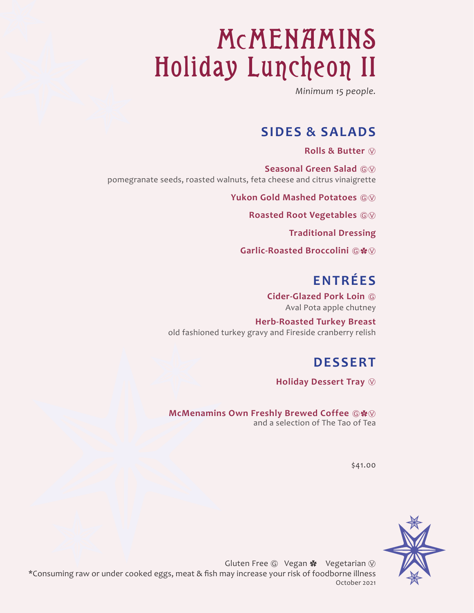# McMENAMINS Holiday Luncheon II

*Minimum 15 people.*

#### **SIDES & SALADS**

**Rolls & Butter** Ⓥ

**Seasonal Green Salad**  $@$ pomegranate seeds, roasted walnuts, feta cheese and citrus vinaigrette

**Yukon Gold Mashed Potatoes** ⒼⓋ

**Roasted Root Vegetables**  $\textcircled{\tiny{W}}$ 

**Traditional Dressing**

Garlic-Roasted Broccolini **a\*** 

### **ENTRÉES**

**Cider-Glazed Pork Loin** Ⓖ Aval Pota apple chutney

**Herb-Roasted Turkey Breast**  old fashioned turkey gravy and Fireside cranberry relish

#### **DESSERT**

**Holiday Dessert Tray**  $\circledcirc$ 

**McMenamins Own Freshly Brewed Coffee**  $\mathbb{G}$  $\cdot$ and a selection of The Tao of Tea

\$41.00

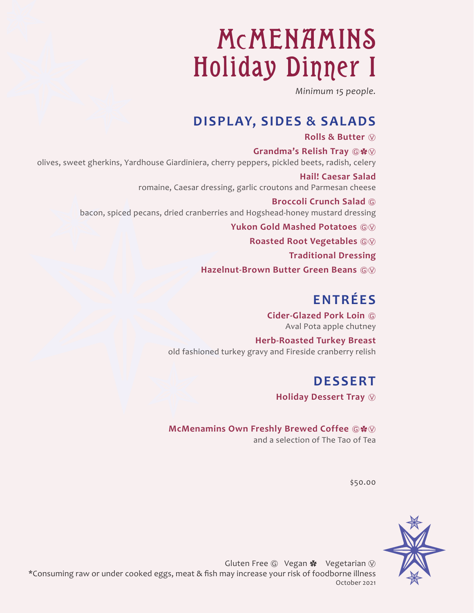# McMENAMINS Holiday Dinner I

*Minimum 15 people.*

#### **DISPLAY, SIDES & SALADS**

#### **Rolls & Butter** Ⓥ

**Grandma's Relish Tray ©※** olives, sweet gherkins, Yardhouse Giardiniera, cherry peppers, pickled beets, radish, celery

> **Hail! Caesar Salad**  romaine, Caesar dressing, garlic croutons and Parmesan cheese

**Broccoli Crunch Salad** Ⓖ bacon, spiced pecans, dried cranberries and Hogshead-honey mustard dressing

**Yukon Gold Mashed Potatoes** ⒼⓋ

**Roasted Root Vegetables**  $@@@$ 

**Traditional Dressing**

**Hazelnut-Brown Butter Green Beans**  $@$ 

### **ENTRÉES**

**Cider-Glazed Pork Loin** Ⓖ Aval Pota apple chutney

**Herb-Roasted Turkey Breast**  old fashioned turkey gravy and Fireside cranberry relish

#### **DESSERT**

**Holiday Dessert Tray**  $\circledcirc$ 

**McMenamins Own Freshly Brewed Coffee**  $\circledR$ \* $\heartsuit$ and a selection of The Tao of Tea

\$50.00